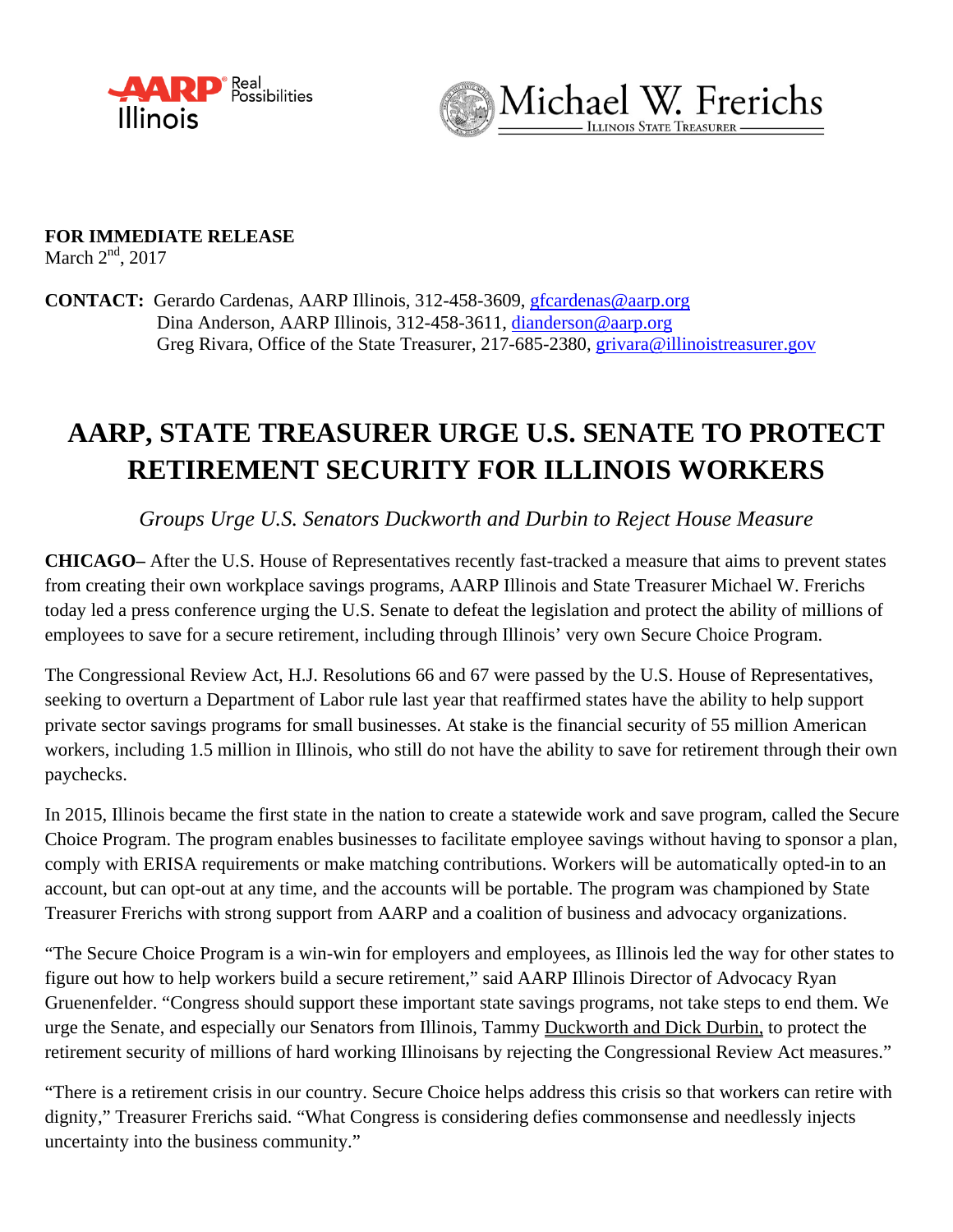



**FOR IMMEDIATE RELEASE**  March  $2<sup>nd</sup>$ , 2017

**CONTACT:** Gerardo Cardenas, AARP Illinois, 312-458-3609, [gfcardenas@aarp.org](mailto:gfcardenas@aarp.org) Dina Anderson, AARP Illinois, 312-458-3611, [dianderson@aarp.org](mailto:dianderson@aarp.org) Greg Rivara, Office of the State Treasurer, 217-685-2380, grivara@illinoistreasurer.gov

## **AARP, STATE TREASURER URGE U.S. SENATE TO PROTECT RETIREMENT SECURITY FOR ILLINOIS WORKERS**

*Groups Urge U.S. Senators Duckworth and Durbin to Reject House Measure*

**CHICAGO–** After the U.S. House of Representatives recently fast-tracked a measure that aims to prevent states from creating their own workplace savings programs, AARP Illinois and State Treasurer Michael W. Frerichs today led a press conference urging the U.S. Senate to defeat the legislation and protect the ability of millions of employees to save for a secure retirement, including through Illinois' very own Secure Choice Program.

The Congressional Review Act, H.J. Resolutions 66 and 67 were passed by the U.S. House of Representatives, seeking to overturn a Department of Labor rule last year that reaffirmed states have the ability to help support private sector savings programs for small businesses. At stake is the financial security of 55 million American workers, including 1.5 million in Illinois, who still do not have the ability to save for retirement through their own paychecks.

In 2015, Illinois became the first state in the nation to create a statewide work and save program, called the Secure Choice Program. The program enables businesses to facilitate employee savings without having to sponsor a plan, comply with ERISA requirements or make matching contributions. Workers will be automatically opted-in to an account, but can opt-out at any time, and the accounts will be portable. The program was championed by State Treasurer Frerichs with strong support from AARP and a coalition of business and advocacy organizations.

"The Secure Choice Program is a win-win for employers and employees, as Illinois led the way for other states to figure out how to help workers build a secure retirement," said AARP Illinois Director of Advocacy Ryan Gruenenfelder. "Congress should support these important state savings programs, not take steps to end them. We urge the Senate, and especially our Senators from Illinois, Tammy Duckworth and Dick Durbin, to protect the retirement security of millions of hard working Illinoisans by rejecting the Congressional Review Act measures."

"There is a retirement crisis in our country. Secure Choice helps address this crisis so that workers can retire with dignity," Treasurer Frerichs said. "What Congress is considering defies commonsense and needlessly injects uncertainty into the business community."